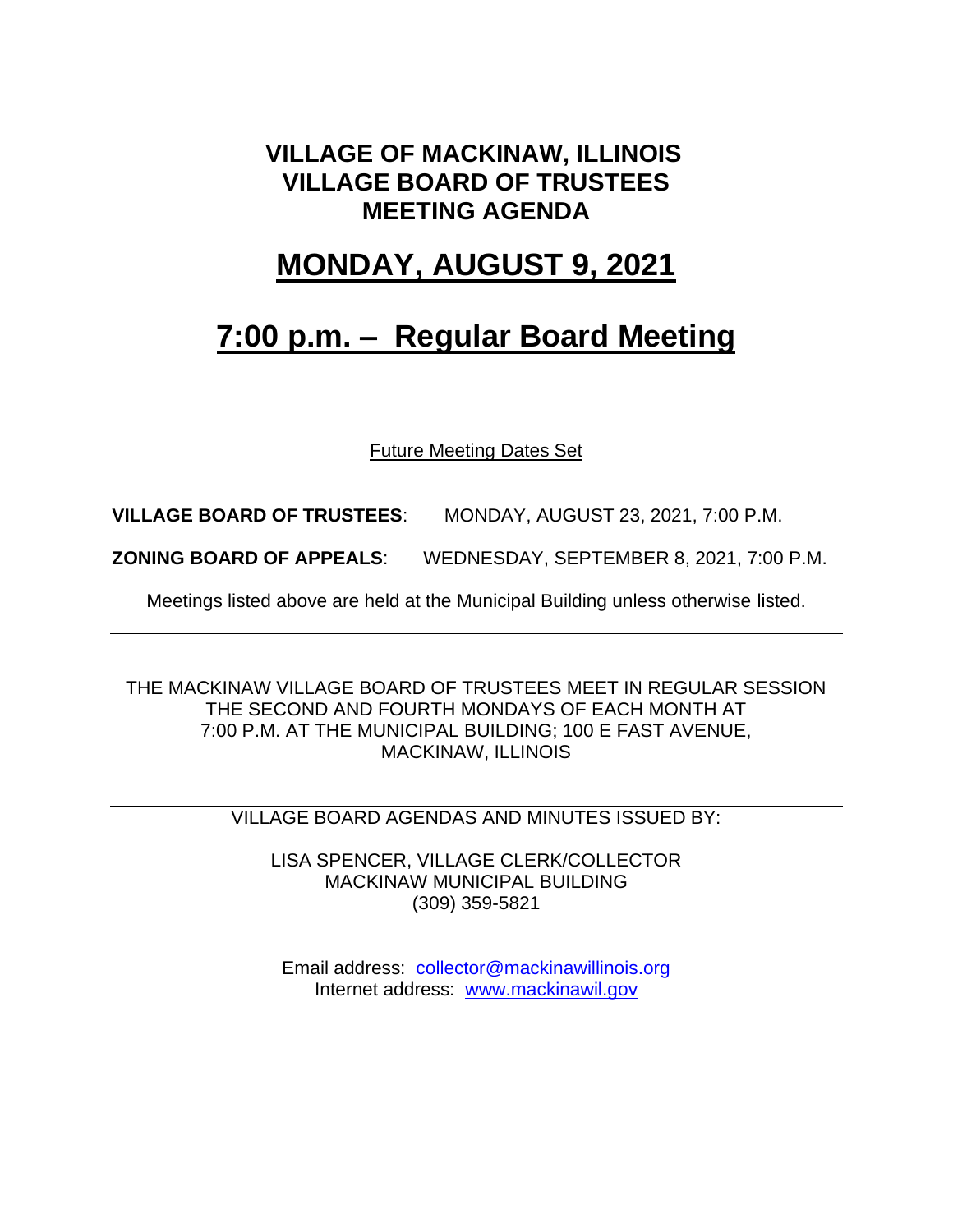#### **VILLAGE OF MACKINAW, ILLINOIS VILLAGE BOARD OF TRUSTEES MEETING AGENDA**

### **MONDAY, AUGUST 9, 2021**

## **7:00 p.m. – Regular Board Meeting**

Future Meeting Dates Set

**VILLAGE BOARD OF TRUSTEES**: MONDAY, AUGUST 23, 2021, 7:00 P.M.

**ZONING BOARD OF APPEALS**: WEDNESDAY, SEPTEMBER 8, 2021, 7:00 P.M.

Meetings listed above are held at the Municipal Building unless otherwise listed.

THE MACKINAW VILLAGE BOARD OF TRUSTEES MEET IN REGULAR SESSION THE SECOND AND FOURTH MONDAYS OF EACH MONTH AT 7:00 P.M. AT THE MUNICIPAL BUILDING; 100 E FAST AVENUE, MACKINAW, ILLINOIS

VILLAGE BOARD AGENDAS AND MINUTES ISSUED BY:

LISA SPENCER, VILLAGE CLERK/COLLECTOR MACKINAW MUNICIPAL BUILDING (309) 359-5821

Email address: [collector@mackinawillinois.org](mailto:collector@mackinawillinois.org) Internet address: [www.mackinawil.gov](http://www.mackinawil.gov/)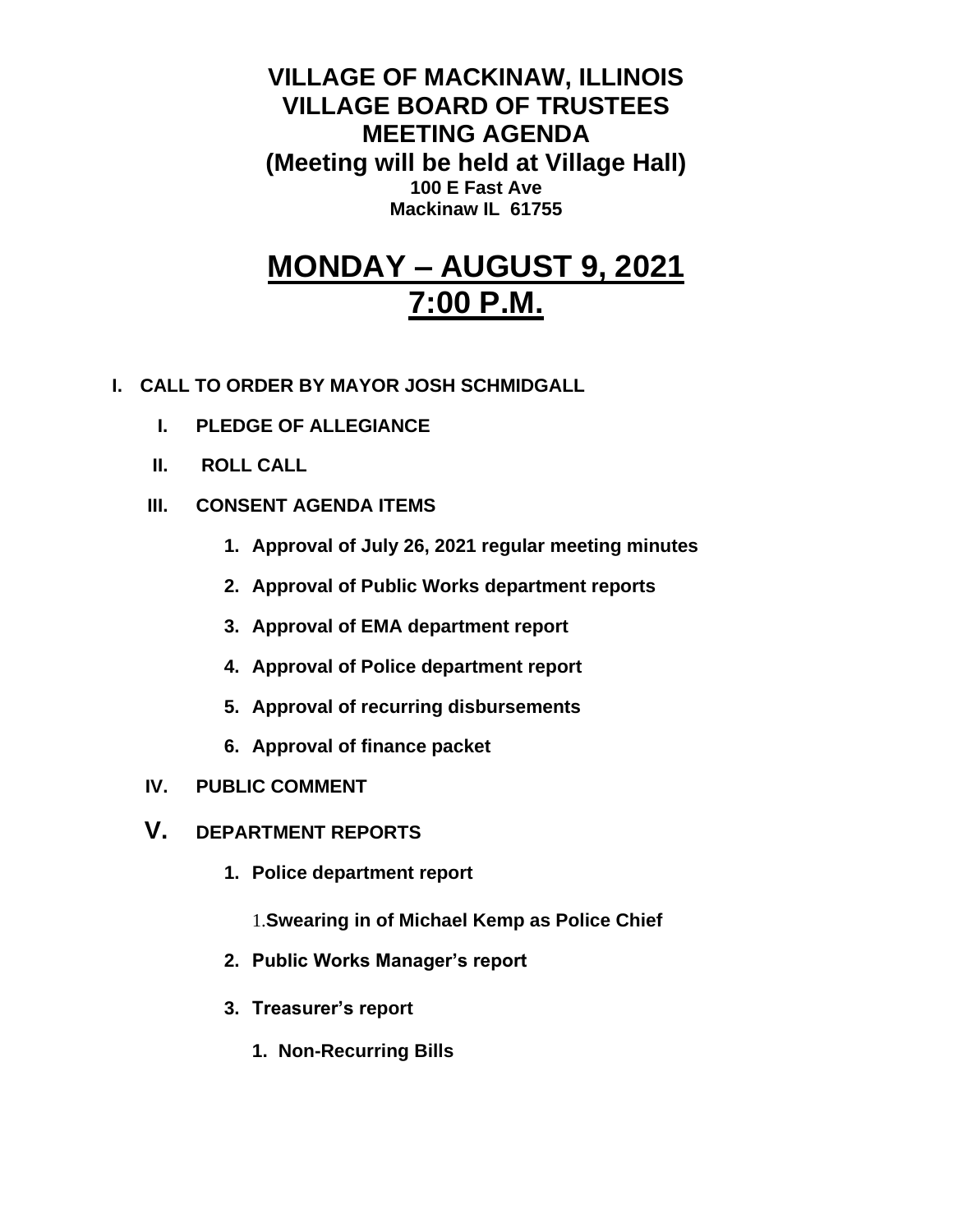**VILLAGE OF MACKINAW, ILLINOIS VILLAGE BOARD OF TRUSTEES MEETING AGENDA (Meeting will be held at Village Hall) 100 E Fast Ave Mackinaw IL 61755**

# **MONDAY – AUGUST 9, 2021 7:00 P.M.**

- **I. CALL TO ORDER BY MAYOR JOSH SCHMIDGALL**
	- **I. PLEDGE OF ALLEGIANCE**
	- **II. ROLL CALL**
	- **III. CONSENT AGENDA ITEMS** 
		- **1. Approval of July 26, 2021 regular meeting minutes**
		- **2. Approval of Public Works department reports**
		- **3. Approval of EMA department report**
		- **4. Approval of Police department report**
		- **5. Approval of recurring disbursements**
		- **6. Approval of finance packet**
	- **IV. PUBLIC COMMENT**
	- **V. DEPARTMENT REPORTS** 
		- **1. Police department report**
			- 1.**Swearing in of Michael Kemp as Police Chief**
		- **2. Public Works Manager's report**
		- **3. Treasurer's report** 
			- **1. Non-Recurring Bills**